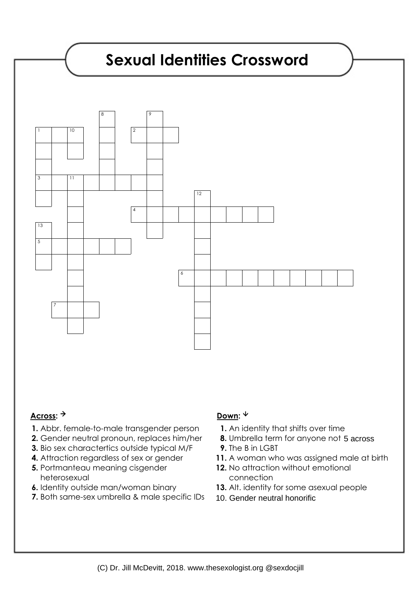

## Across: <sup>→</sup> Down: <sup>↓</sup>

- **1.** Abbr. female-to-male transgender person
- **2.** Gender neutral pronoun, replaces him/her
- **3.** Bio sex charactertics outside typical M/F
- **4.** Attraction regardless of sex or gender
- **5.** Portmanteau meaning cisgender heterosexual
- **6.** Identity outside man/woman binary
- **7.** Both same-sex umbrella & male specific IDs

- **1.** An identity that shifts over time
- **8.** Umbrella term for anyone not 5 across
- **9.** The B in LGBT
- **11.** A woman who was assigned male at birth
- 12. No attraction without emotional connection
- 13. Alt. identity for some asexual people
- 10. Gender neutral honorific